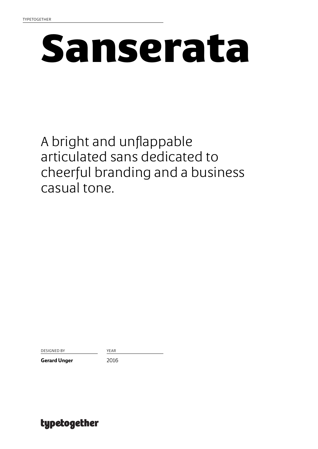# Sanserata

A bright and unflappable articulated sans dedicated to cheerful branding and a business casual tone.

DESIGNED BY YEAR

Gerard Unger 2016

typetogether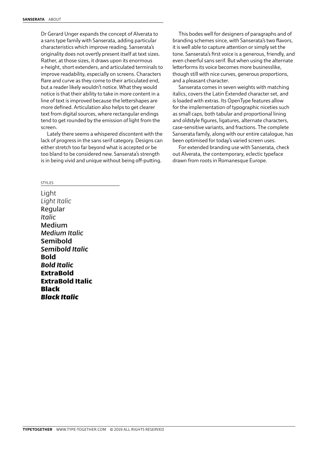Dr Gerard Unger expands the concept of Alverata to a sans type family with Sanserata, adding particular characteristics which improve reading. Sanserata's originality does not overtly present itself at text sizes. Rather, at those sizes, it draws upon its enormous x-height, short extenders, and articulated terminals to improve readability, especially on screens. Characters flare and curve as they come to their articulated end, but a reader likely wouldn't notice. What they would notice is that their ability to take in more content in a line of text is improved because the lettershapes are more defined. Articulation also helps to get clearer text from digital sources, where rectangular endings tend to get rounded by the emission of light from the screen.

Lately there seems a whispered discontent with the lack of progress in the sans serif category. Designs can either stretch too far beyond what is accepted or be too bland to be considered new. Sanserata's strength is in being vivid and unique without being off-putting.

This bodes well for designers of paragraphs and of branding schemes since, with Sanserata's two flavors, it is well able to capture attention or simply set the tone. Sanserata's first voice is a generous, friendly, and even cheerful sans serif. But when using the alternate letterforms its voice becomes more businesslike, though still with nice curves, generous proportions, and a pleasant character.

Sanserata comes in seven weights with matching italics, covers the Latin Extended character set, and is loaded with extras. Its OpenType features allow for the implementation of typographic niceties such as small caps, both tabular and proportional lining and oldstyle figures, ligatures, alternate characters, case-sensitive variants, and fractions. The complete Sanserata family, along with our entire catalogue, has been optimised for today's varied screen uses.

For extended branding use with Sanserata, check out Alverata, the contemporary, eclectic typeface drawn from roots in Romanesque Europe.

### STYLES

Light *Light Italic* Regular *Italic* Medium *Medium Italic* Semibold *Semibold Italic* **Bold** *Bold Italic* ExtraBold ExtraBold Italic Black *Black Italic*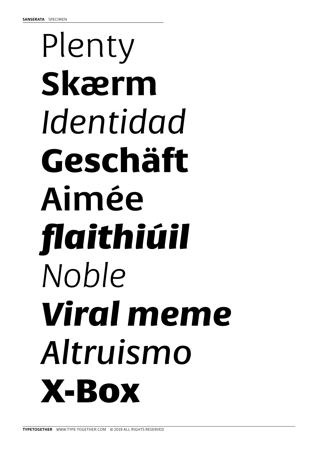## Plenty Skærm Identidad Geschäft Aimée flaithiúil Noble **Viral meme** Altruismo X-BOX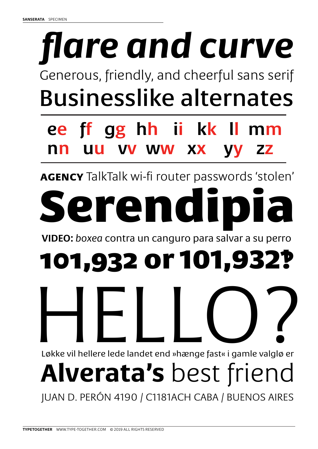# *flare and curve*

Generous, friendly, and cheerful sans serif Businesslike alternates

### ee ff gg hh ii kk ll mm nn uu vv ww xx yy zz

**agency** TalkTalk wi-fi router passwords 'stolen'

# serendi

VIDEO: *boxea* contra un canguro para salvar a su perro

## 101,932 or 101,932‽

HELLO? Løkke vil hellere lede landet end »hænge fast« i gamle valglø er

## **Alverata's** best friend

JUAN D. PERÓN 4190 / C1181ACH CABA / BUENOS AIRES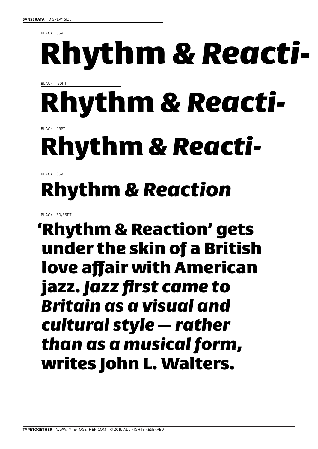BLACK 55PT

## Rhythm *& Reacti-*

BLACK 50PT

## Rhythm *& Reacti-*

BLACK 45PT

### Rhythm *& Reacti-*

BLACK 35PT

### Rhythm *& Reaction*

BLACK 30/36PT

'Rhythm & Reaction' gets under the skin of a British love affair with American jazz. *Jazz first came to Britain as a visual and cultural style — rather than as a musical form,* writes John L. Walters.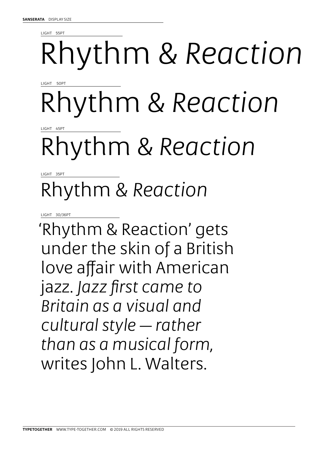LIGHT 55PT

# Rhythm *& Reaction*

LIGHT 50PT

## Rhythm *& Reaction*

LIGHT 45PT

### Rhythm *& Reaction*

LIGHT 35PT

### Rhythm *& Reaction*

LIGHT 30/36PT

'Rhythm & Reaction' gets under the skin of a British love affair with American jazz. *Jazz first came to Britain as a visual and cultural style — rather than as a musical form,*  writes John L. Walters.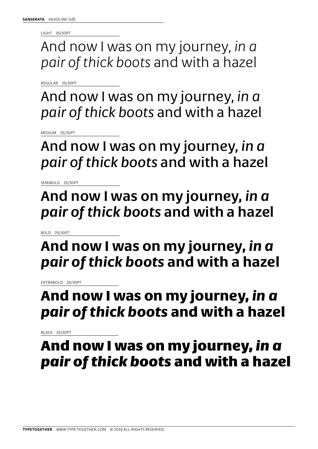LIGHT 25/30PT

And now I was on my journey, *in a pair of thick boots* and with a hazel

REGULAR 25/30PT

And now I was on my journey, *in a pair of thick boots* and with a hazel

MEDIUM 25/30PT

And now I was on my journey, *in a pair of thick boots* and with a hazel

SEMIBOLD 25/30PT

And now I was on my journey, *in a pair of thick boots* and with a hazel

BOLD 25/30PT

### **And now I was on my journey,** *in a pair of thick boots* **and with a hazel**

EXTRABOLD 25/30PT

### And now I was on my journey, *in a pair of thick boots* and with a hazel

BLACK 25/30PT

### And now I was on my journey, *in a pair of thick boots* and with a hazel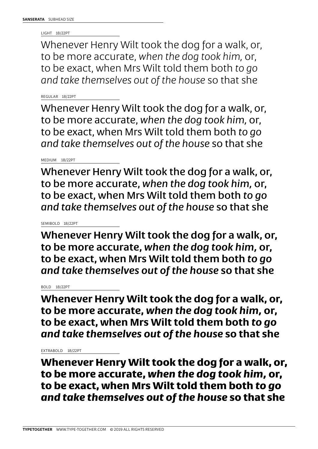LIGHT 18/22PT

Whenever Henry Wilt took the dog for a walk, or, to be more accurate, *when the dog took him,* or, to be exact, when Mrs Wilt told them both *to go and take themselves out of the house* so that she

REGULAR 18/22PT

Whenever Henry Wilt took the dog for a walk, or, to be more accurate, *when the dog took him,* or, to be exact, when Mrs Wilt told them both *to go and take themselves out of the house* so that she

MEDIUM 18/22PT

Whenever Henry Wilt took the dog for a walk, or, to be more accurate, *when the dog took him,* or, to be exact, when Mrs Wilt told them both *to go and take themselves out of the house* so that she

SEMIBOLD 18/22PT

Whenever Henry Wilt took the dog for a walk, or, to be more accurate, *when the dog took him,* or, to be exact, when Mrs Wilt told them both *to go and take themselves out of the house* so that she

BOLD 18/22PT

**Whenever Henry Wilt took the dog for a walk, or, to be more accurate,** *when the dog took him,* **or, to be exact, when Mrs Wilt told them both** *to go and take themselves out of the house* **so that she** 

EXTRABOLD 18/22PT

Whenever Henry Wilt took the dog for a walk, or, to be more accurate, *when the dog took him,* or, to be exact, when Mrs Wilt told them both *to go and take themselves out of the house* so that she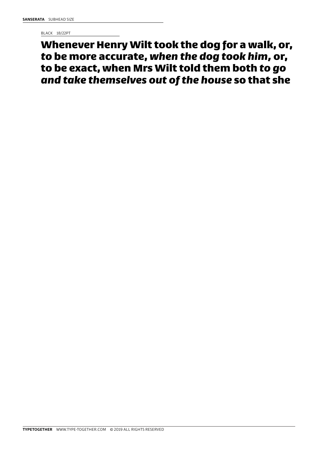BLACK 18/22PT

Whenever Henry Wilt took the dog for a walk, or, *to* be more accurate, *when the dog took him,* or, to be exact, when Mrs Wilt told them both *to go and take themselves out of the house* so that she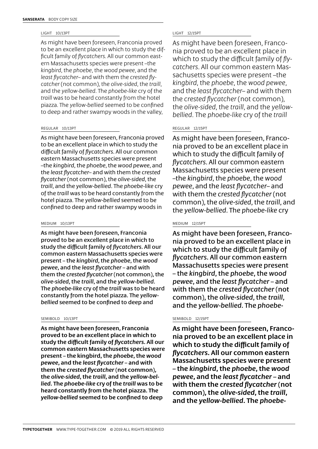### LIGHT 10/13PT

As might have been foreseen, Franconia proved to be an excellent place in which to study the difficult family of *flycatchers*. All our common eastern Massachusetts species were present –the *kingbird*, the *phoebe*, the *wood pewee*, and the *least flycatcher*– and with them the *crested flycatcher* (not common), the *olive-sided*, the *traill*, and the *yellow-bellied*. The *phoebe-like* cry of the *traill* was to be heard constantly from the hotel piazza. The *yellow-bellied* seemed to be confined to deep and rather swampy woods in the valley,

### REGULAR 10/13PT

As might have been foreseen, Franconia proved to be an excellent place in which to study the difficult family of *flycatchers*. All our common eastern Massachusetts species were present –the *kingbird*, the *phoebe*, the *wood pewee*, and the *least flycatcher*– and with them the *crested flycatcher* (not common), the *olive-sided*, the *traill*, and the *yellow-bellied*. The *phoebe-like* cry of the *traill* was to be heard constantly from the hotel piazza. The *yellow-bellied* seemed to be confined to deep and rather swampy woods in

### MEDIUM 10/13PT

As might have been foreseen, Franconia proved to be an excellent place in which to study the difficult family of *flycatchers*. All our common eastern Massachusetts species were present – the *kingbird*, the *phoebe*, the *wood pewee*, and the *least flycatcher* – and with them the *crested flycatcher* (not common), the *olive-sided*, the *traill*, and the *yellow-bellied*. The *phoebe-like* cry of the *traill* was to be heard constantly from the hotel piazza. The *yellowbellied* seemed to be confined to deep and

### SEMIBOLD 10/13PT

As might have been foreseen, Franconia proved to be an excellent place in which to study the difficult family of *flycatchers*. All our common eastern Massachusetts species were present – the kingbird, the *phoebe*, the *wood pewee*, and the *least flycatcher* – and with them the *crested flycatcher* (not common), the *olive-sided*, the *traill*, and the *yellow-bellied*. The *phoebe-like* cry of the *traill* was to be heard constantly from the hotel piazza. The *yellow-bellied* seemed to be confined to deep

### LIGHT 12/15PT

As might have been foreseen, Franconia proved to be an excellent place in which to study the difficult family of *flycatchers*. All our common eastern Massachusetts species were present –the *kingbird*, the *phoebe*, the *wood pewee*, and the *least flycatcher*– and with them the *crested flycatcher* (not common), the *olive-sided*, the *traill*, and the *yellowbellied*. The *phoebe-like* cry of the *traill*

### REGULAR 12/15PT

As might have been foreseen, Franconia proved to be an excellent place in which to study the difficult family of *flycatchers*. All our common eastern Massachusetts species were present –the *kingbird*, the *phoebe*, the *wood pewee*, and the *least flycatcher*– and with them the *crested flycatcher* (not common), the *olive-sided*, the *traill*, and the *yellow-bellied*. The *phoebe-like* cry

### MEDIUM 12/15PT

As might have been foreseen, Franconia proved to be an excellent place in which to study the difficult family of *flycatchers*. All our common eastern Massachusetts species were present – the *kingbird*, the *phoebe*, the *wood pewee*, and the *least flycatcher* – and with them the *crested flycatcher* (not common), the *olive-sided*, the *traill*, and the *yellow-bellied*. The *phoebe-*

### SEMIBOLD 12/15PT

As might have been foreseen, Franconia proved to be an excellent place in which to study the difficult family of *flycatchers*. All our common eastern Massachusetts species were present – the *kingbird*, the *phoebe*, the *wood pewee*, and the *least flycatcher* – and with them the *crested flycatcher* (not common), the *olive-sided*, the *traill*, and the *yellow-bellied*. The *phoebe-*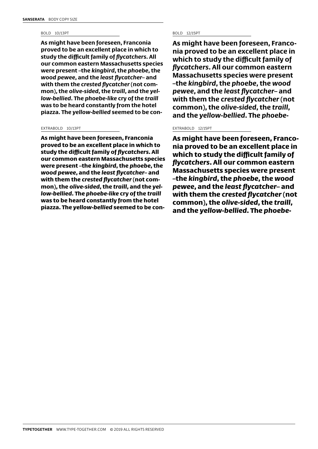### BOLD 10/13PT

**As might have been foreseen, Franconia proved to be an excellent place in which to study the difficult family of** *flycatchers***. All our common eastern Massachusetts species were present –the** *kingbird***, the** *phoebe***, the**  *wood pewee***, and the** *least flycatcher***– and with them the** *crested flycatcher* **(not common), the** *olive-sided***, the** *traill***, and the** *yellow-bellied***. The** *phoebe-like* **cry of the** *traill* **was to be heard constantly from the hotel piazza. The** *yellow-bellied* **seemed to be con-**

### EXTRABOLD 10/13PT

As might have been foreseen, Franconia proved to be an excellent place in which to study the difficult family of *flycatchers*. All our common eastern Massachusetts species were present –the *kingbird*, the *phoebe*, the *wood pewee*, and the *least flycatcher*– and with them the *crested flycatcher* (not common), the *olive-sided*, the *traill*, and the *yellow-bellied*. The *phoebe-like* cry of the *traill* was to be heard constantly from the hotel piazza. The *yellow-bellied* seemed to be con-

### BOLD 12/15PT

**As might have been foreseen, Franconia proved to be an excellent place in which to study the difficult family of**  *flycatchers***. All our common eastern Massachusetts species were present –the** *kingbird***, the** *phoebe***, the** *wood pewee***, and the** *least flycatcher***– and with them the** *crested flycatcher* **(not common), the** *olive-sided***, the** *traill***, and the** *yellow-bellied***. The** *phoebe-*

### EXTRABOLD 12/15PT

As might have been foreseen, Franconia proved to be an excellent place in which to study the difficult family of *flycatchers*. All our common eastern Massachusetts species were present –the *kingbird*, the *phoebe*, the *wood pewee*, and the *least flycatcher*– and with them the *crested flycatcher* (not common), the *olive-sided*, the *traill*, and the *yellow-bellied*. The *phoebe-*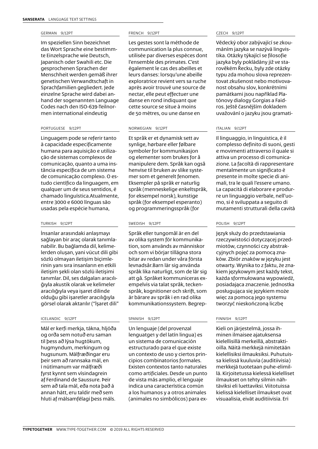### GERMAN 9/12PT

Im speziellen Sinn bezeichnet das Wort Sprache eine bestimmte Einzelsprache wie Deutsch, Japanisch oder Swahili etc. Die gesprochenen Sprachen der Menschheit werden gemäß ihrer genetischen Verwandtschaft in Sprachfamilien gegliedert. Jede einzelne Sprache wird dabei anhand der sogenannten Language Codes nach den ISO-639-Teilnormen international eindeutig

### PORTUGUESE 9/12PT

Linguagem pode se referir tanto à capacidade especificamente humana para aquisição e utilização de sistemas complexos de comunicação, quanto a uma instância específica de um sistema de comunicação complexo. O estudo científico da linguagem, em qualquer um de seus sentidos, é chamado linguística.Atualmente, entre 3000 e 6000 línguas são usadas pela espécie humana,

### TURKISH 9/12PT

İnsanlar arasındaki anlaşmayı sağlayan bir araç olarak tanımlanabilir. Bu bağlamda dil, kelimelerden oluşan, yani vücut dili gibi sözlü olmayan iletişim biçimlerinin yanı sıra insanların en etkili iletişim şekli olan sözlü iletişimi tanımlar. Dil, ses dalgaları aracılığıyla akustik olarak ve kelimeler aracılığıyla veya işaret dilinde olduğu gibi işaretler aracılığıyla görsel olarak aktarılır ("İşaret dili"

### ICELANDIC 9/12PT

Mál er kerfi merkja, tákna, hljóða og orða sem notuð eru saman til þess að lýsa hugtökum, hugmyndum, merkingum og hugsunum. Málfræðingar eru þeir sem að rannsaka mál, en í nútímanum var málfræði fyrst kynnt sem vísindagrein af Ferdinand de Saussure. Þeir sem að tala mál, eða nota það á annan hátt, eru taldir með sem hluti af málsamfélagi þess máls.

### FRENCH 9/12PT

Les gestes sont la méthode de communication la plus connue, utilisée par diverses espèces dont l'ensemble des primates. C'est également le cas des abeilles et leurs danses: lorsqu'une abeille exploratrice revient vers sa ruche après avoir trouvé une source de nectar, elle peut effectuer une danse en rond indiquant que cette source se situe à moins de 50 mètres, ou une danse en

### NORWEGIAN 9/12PT

Et språk er et dynamisk sett av synlige, hørbare eller følbare symboler for kommunikasjon og elementer som brukes for å manipulere dem. Språk kan også henvise til bruken av slike systemer som et generelt fenomen. Eksempler på språk er naturlig språk (menneskelige enkeltspråk, for eksempel norsk), kunstige språk (for eksempel esperanto) og programmeringsspråk (for

### SWEDISH 9/12PT

Språk eller tungomål är en del av olika system för kommunikation, som används av människor och som vi börjar tillägna stora bitar av redan under våra första levnadsår.Barn lär sig använda språk lika naturligt, som de lär sig att gå. Språket kommuniceras exempelvis via talat språk, teckenspråk, kognitioner och skrift, som är bärare av språk i en rad olika kommunikationssystem. Begrep-

### SPANISH 9/12PT

Un lenguaje (del provenzal lenguatge1 y del latín lingua) es un sistema de comunicación estructurado para el que existe un contexto de uso y ciertos principios combinatorios formales. Existen contextos tanto naturales como artificiales. Desde un punto de vista más amplio, el lenguaje indica una característica común a los humanos y a otros animales (animales no simbólicos) para ex-

### CZECH 9/12PT

Vědecký obor zabývající se zkoumáním jazyka se nazývá lingvistika. Otázky týkající se filosofie jazyka byly pokládány již ve starověkém Řecku, byly zde otázky typu zda mohou slova reprezentovat zkušenost nebo motivovanost obsahu slov, konkrétními památkami jsou například Platónovy dialogy Gorgias a Faidros. Ještě časnějším dokladem uvažování o jazyku jsou gramati-

### ITALIAN 9/12PT

Il linguaggio, in linguistica, è il complesso definito di suoni, gesti e movimenti attraverso il quale si attiva un processo di comunicazione. La facoltà di rappresentare mentalmente un significato è presente in molte specie di animali, tra le quali l'essere umano. La capacità di elaborare e produrre un linguaggio verbale, nell'uomo, si è sviluppata a seguito di mutamenti strutturali della cavità

### POLISH 9/12PT

Język służy do przedstawiania rzeczywistości dotyczącej przedmiotów, czynności czy abstrakcyjnych pojęć za pomocą znaków. Zbiór znaków w języku jest otwarty. Wynika to z faktu, że znakiem językowym jest każdy tekst, każda sformułowana wypowiedź, posiadająca znaczenie. Jednostka posługująca się językiem może więc za pomocą jego systemu tworzyć nieskończoną liczbę

### FINNISH 9/12PT

Kieli on järjestelmä, jossa ihminen ilmaisee ajatuksensa kielellisillä merkeillä, abstraktioilla. Näitä merkkejä nimitetään kielellisiksi ilmauksiksi. Puhutuissa kielissä kuuluvia (auditiivisia) merkkejä tuotetaan puhe-elimillä. Kirjoitetussa kielessä kielelliset ilmaukset on tehty silmin nähtäviksi eli luettaviksi. Viitotuissa kielissä kielelliset ilmaukset ovat visuaalisia, eivät auditiivisia. Eri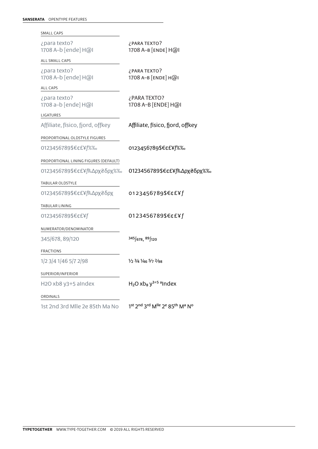| SMALL CAPS                                    |                                                                        |  |
|-----------------------------------------------|------------------------------------------------------------------------|--|
| ¿para texto?<br>1708 A-b [ende] H@I           | ¿PARA TEXTO?<br>1708 A-в [ENDE] H@I                                    |  |
| ALL SMALL CAPS                                |                                                                        |  |
| ¿para texto?<br>1708 A-b [ende] H@I           | ¿PARA TEXTO?<br>1708 A-B [ENDE] H@I                                    |  |
| <b>ALL CAPS</b>                               |                                                                        |  |
| ¿para texto?<br>1708 a-b [ende] H@I           | ¿PARA TEXTO?<br>1708 A-B [ENDE] H@I                                    |  |
| LIGATURES                                     |                                                                        |  |
| Affiliate, físico, fjord, offkey              | Affiliate, físico, fjord, offkey                                       |  |
| PROPORTIONAL OLDSTYLE FIGURES                 |                                                                        |  |
| 0123456789\$€¢£¥f%%                           | 0123456789\$€¢£¥f%%                                                    |  |
| PROPORTIONAL LINING FIGURES (DEFAULT)         |                                                                        |  |
| 0123456789\$€¢£¥f₨Δρχ₴δρχ%‰                   | 0123456789\$€¢£¥f₨Δρχ₴δρχ%‰                                            |  |
| <b>TABULAR OLDSTYLE</b>                       |                                                                        |  |
| 0123456789\$€¢£¥f <sup>R</sup> sΔρχ₴δρχ       | 0123456789\$€¢£¥f                                                      |  |
| TABULAR LINING                                |                                                                        |  |
| 0123456789\$€¢£¥f                             | 0123456789\$€¢£¥f                                                      |  |
| NUMERATOR/DENOMINATOR                         |                                                                        |  |
| 345/678, 89/120                               | 345/678, 89/120                                                        |  |
| <b>FRACTIONS</b>                              |                                                                        |  |
| 1/2 3/4 1/46 5/7 2/98                         | $\frac{1}{2}$ $\frac{3}{4}$ $\frac{1}{4}$ $\frac{5}{7}$ $\frac{2}{98}$ |  |
| SUPERIOR/INFERIOR                             |                                                                        |  |
| H <sub>2</sub> O xb8 y <sub>3</sub> +5 alndex | $H2O$ xb <sub>8</sub> y <sup>3+5 a</sup> lndex                         |  |
| ORDINALS                                      |                                                                        |  |
| 1st 2nd 3rd Mlle 2e 85th Ma No                | 1st 2nd 3rd Mlle 2e 85th Ma No                                         |  |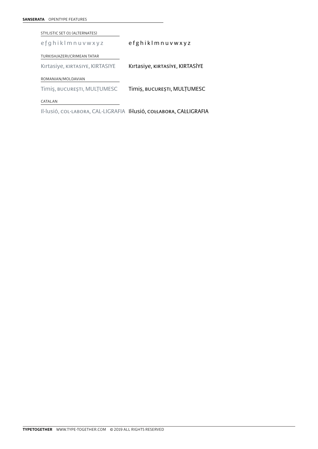| SANSERATA | <b>OPENTYPE FEATURES</b> |  |
|-----------|--------------------------|--|
|           |                          |  |

STYLISTIC SET O1 (ALTERNATES)

TURKISH/AZERI/CRIMEAN TATAR e f g h i k l m n u v w x y z e f g h i k l m n u v w x y z

Kırtasiye, kırtasiye, KIRTASIYE Kırtasiye, kırtasiye, KIRTASIYE

ROMANIAN/MOLDAVIAN

Timiş, bucureşti, MULŢUMESC Timiş, bucureşti, MULŢUMESC

CATALAN

Il·lusió, col·labora, CAL·LIGRAFIA Il·lusió, col·labora, CAL·LIGRAFIA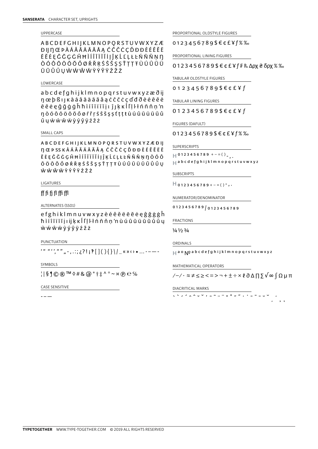### UPPERCASE

ABCDEFGHIJKLMNOPQRSTUVWXYZÆ ĐỊ N Œ PÀÁÂÃĂĂĂĂA ĆĈČČCĎĐĐÈÉÊĚË ĒĔĖEĜĞGĠĤĦÌÍÎĨĬĬĬİIÎKĹĽLŁĿŃÑŇNN ÒÓÔÕÖŌŎŐØŔŘRŚŜŠŞŞŤŢŢŦÙÚÛŨÜ ŪŬŮŰUŴŴŴŴŶÝŶŸŹŽŻ

### LOWERCASE

abcdefghijklmnopgrstuvwxyzæðij n œ þ ß ı ı k à á â ã ä ā ă å a ć ĉ č ċ ç ď đ ð è é ê ě ë ē ĕ ė ę ĝ ğ ġ ģ ĥ ħ ì í î î ï ī ĭ j ı ĵ ı ķ ĸ l l' l ŀ ł ń ñ ň ņ 'n ndóôõöōŏőøfřrśŝšssttttùúûūüūŭů ŰŲŴŴŴŴỳýŷÿŹŽŻ

### SMALL CAPS

**ABCDEFGHIJKLMNOPQRSTUVWXYZÆÐIJ n** Œ P SS K À Á Ã Ä Ä Ā Ă Å Ą Ć Ĉ Č Č C Ď Đ Đ È É Ê Ě Ë Ē ĔĖĘĜĞĠGĤĦÌÍÎĨĨĬĬİ|ĴKĹĽLŁĿŃŇÑNŊÒÓÔ ÕÖŌŎŐØŔŘŖŚŜŠŞŞŤŢŢŦÙÚÛŨÜŪŬŮŰŲ ŴŴŴŴŶÝŶŸŹŽŻ

### **LIGATURES**

### ff fi fi fi ffi ffl

ALTERNATES (SSO1)

efghiklmnuvwxyzèéêěëēēėęĝğġģĥ hiíîïïīĭjıijķĸĺľļŀłńñňn'nùúûũüūŭůűy wŵŵŵÿýŷÿźžż

PUNCTUATION

'" "'',"" "-,.:;¿?!¡?[](){}\/\_«» () • ... -----

SYMBOLS

 $|$ |§ $\left| \circledcirc \circledcirc \circlearrowright$  M  $\diamond \#$  &  $\circledcirc$  \*  $\dagger \ddagger \wedge \circ \sim$  x  $\circledcirc \circ \circ$ 

CASE SENSITIVE

PROPORTIONAL OLDSTYLE FIGURES

 $0123456789$ \$€¢£¥ $f$ %‰

PROPORTIONAL LINING FIGURES

 $0123456789$  \$€¢£¥ f F P<sub>s</sub> Δρχ ₴ δρχ % ‰

TABULAR OLDSTYLE FIGURES

 $0123456789$ \$€¢£¥f

TABULAR LINING FIGURES

0123456789\$€¢£¥f

FIGURES (DAFULT)

0123456789\$€¢£¥f%‰

SUPERSCRIPTS

```
\left[\begin{array}{ccccc} 0 & 1 & 2 & 3 & 4 & 5 & 6 & 7 & 8 & 9 & + & - & = & 0 \\ 0 & 0 & 1 & 2 & 3 & 4 & 5 & 6 & 7 & 8 & 9 & + & - & = & 0 \end{array}\right]
```
 $\overline{H}$  a b c d e f g h i j k l m n o p q r s t u v w x y z

**SUBSCRIPTS** 

 $\overline{H}$  0123456789 + - = ( )<sup>-</sup>,.

NUMERATOR/DENOMINATOR

0123456789 0123456789

**FRACTIONS** 

 $\frac{1}{4}$   $\frac{1}{3}$   $\frac{3}{4}$ 

ORDINALS

 $\Box$  a o  $\Box$  a b c d e f g h i j k l m n o p q r s t u v w x y z

MATHEMATICAL OPERATORS

∕−∕·≈≠≤≥<=>¬+±÷×ℓ∂Δ∏∑√∞∫Ωμπ

### DIACRITICAL MARKS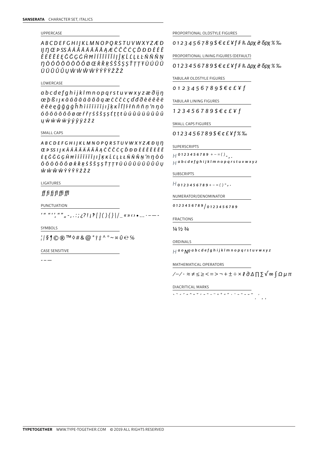### UPPERCASE

ABCDEFGHIJKLMNOPQRSTUVWXYZÆÐ II N Œ Þ SS À Á Ã Ä Ā Ā Ă Å A Æ Ć Ĉ Č Č C Ď Đ Đ È É Ê ĚËĒĔĖĘĜĞĢĠĤĦÌÍÎĨĨĨĬĬĮĴĶĹĽĻŁĿŃÑŇŅ *Ŋ*ÒÓÔÕÖŌŎŐØŒŔŘŖŚŜŠŞŞŤŢŢŦÙÚÛŨ ÜŪŬŮŰUŴŴŴŴŶÝŶŸŹŽŻ

### LOWERCASE

abcdefghijklmnopgrstuvwxyzæðijn œþßı kà á â ã ä ā ă å g æ ć ĉ č ċ ç ď đ đ è é ê ě ë ē ĕ ė ę ĝ ğ ġ ģ ĥ ħ ì í î ĩ ī ī ĭ j ı ĵ ķ ĸ l ľ ļ ŀ ł ń ñ ň ņ 'n ŋ ò óôõöōŏőøœŕřŗśŝšşṣtṭṭŧùúûũüūŭůů  $U \dot{W} \dot{W} \dot{W} \ddot{W} \dot{V} \dot{V} \dot{V} \ddot{V} \dot{Z} \dot{Z} \dot{Z}$ 

### SMALL CAPS

**ABCDEFGHIJKLMNOPQRSTUVWXYZÆÐIJN** ŒPSSIJKÀÁÂÃÄÄĀĂÅĄĆĈČČÇĎĐĐÈÉÊĚËĒĔ ĖĘĜĞĠĢĤĦÌÍÎĨĨĨĬĮIĴĶKĹĽĻĿŁŃÑŇŅ'n ŊÒÓ  $\hat{O} \tilde{O} \tilde{O} \tilde{O} \tilde{O} \tilde{O} \tilde{O} \tilde{R} \tilde{R} \tilde{R} \tilde{S} \tilde{S} \tilde{S} \tilde{S} \tilde{S} \tilde{T} \tilde{T} \tilde{T} \tilde{P} \tilde{U} \tilde{U} \tilde{U} \tilde{U} \tilde{U} \tilde{U} \tilde{U} \tilde{U} \tilde{U} \tilde{U}$ w w ŵ w y y y z z z

### **LIGATURES**

### ff fi fi fi ffi ffl

PUNCTUATION

 $\{1\}$   $\{1\}$   $\{1\}$   $\{2\}$   $\{3\}$   $\{4\}$   $\{5\}$   $\{6\}$   $\{7\}$   $\{8\}$   $\{8\}$   $\{9\}$   $\{1\}$   $\{1\}$   $\{1\}$   $\{1\}$   $\{1\}$   $\{1\}$   $\{1\}$   $\{1\}$   $\{1\}$   $\{1\}$   $\{1\}$   $\{1\}$   $\{1\}$   $\{1\}$   $\{1\}$   $\{1\$ 

SYMBOLS

 $\frac{1}{2}$  | § | © ®  $\frac{1}{2}$  M  $\Diamond$  # & @ \*  $\dag$   $\pm$  ^  $\degree$   $\sim$  x  $\angle$   $\Theta$  %

CASE SENSITIVE

 $-$ 

PROPORTIONAL OLDSTYLE FIGURES

 $0123456789$  \$€¢£¥f F Rs Δρχ ₴δρχ % ‰

PROPORTIONAL LINING FIGURES (DEFAULT)

 $0123456789$  \$€¢£¥ f F R<sub>5</sub> Δρχ ₴ δρχ % ‰

TABULAR OLDSTYLE FIGURES

 $0123456789$  \$€¢£¥f

TABULAR LINING FIGURES

 $123456789$ \$ $\in$  $E$ ¥f

SMALL CAPS FIGURES

0123456789\$€¢£¥f%‰

SUPERSCRIPTS

```
H^{0123456789+-\\=()H a b c d e f g h i j k l m n o p q r s t u v w x y z
```
**SUBSCRIPTS** 

 $H_{0123456789+-}$  ()<sup>-</sup>,.

NUMERATOR/DENOMINATOR

0123456789 0123456789

**FRACTIONS** 

 $\frac{1}{4} \frac{1}{2} \frac{3}{4}$ 

```
ORDINALS
```
 $H$  a o  $N$ <sup>o</sup> a b c d e f g h i j k l m n o p q r s t u v w x y z

MATHEMATICAL OPERATORS

 $\sqrt{-1}$   $\cdot$   $\approx$   $\neq$   $\leq$   $\geq$   $\lt$   $=$   $>$   $\neg$   $+$   $\pm$   $\div$   $\times$   $\ell$   $\partial$   $\Delta$   $\prod$   $\sum$   $\sqrt{\infty}$   $\int$   $\Omega$   $\mu$   $\pi$ 

### DIACRITICAL MARKS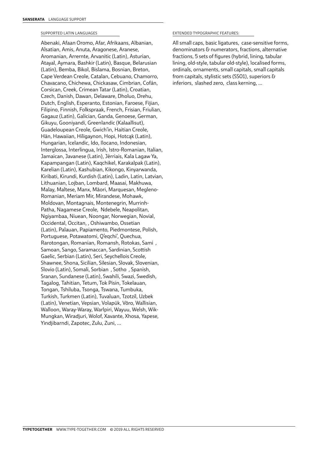### SUPPORTED LATIN LANGUAGES

Abenaki, Afaan Oromo, Afar, Afrikaans, Albanian, Alsatian, Amis, Anuta, Aragonese, Aranese, Aromanian, Arrernte, Arvanitic (Latin), Asturian, Atayal, Aymara, Bashkir (Latin), Basque, Belarusian (Latin), Bemba, Bikol, Bislama, Bosnian, Breton, Cape Verdean Creole, Catalan, Cebuano, Chamorro, Chavacano, Chichewa, Chickasaw, Cimbrian, Cofán, Corsican, Creek, Crimean Tatar (Latin), Croatian, Czech, Danish, Dawan, Delaware, Dholuo, Drehu, Dutch, English, Esperanto, Estonian, Faroese, Fijian, Filipino, Finnish, Folkspraak, French, Frisian, Friulian, Gagauz (Latin), Galician, Ganda, Genoese, German, Gikuyu, Gooniyandi, Greenlandic (Kalaallisut), Guadeloupean Creole, Gwich'in, Haitian Creole, Hän, Hawaiian, Hiligaynon, Hopi, Hotcąk (Latin), Hungarian, Icelandic, Ido, Ilocano, Indonesian, Interglossa, Interlingua, Irish, Istro-Romanian, Italian, Jamaican, Javanese (Latin), Jèrriais, Kala Lagaw Ya, Kapampangan (Latin), Kaqchikel, Karakalpak (Latin), Karelian (Latin), Kashubian, Kikongo, Kinyarwanda, Kiribati, Kirundi, Kurdish (Latin), Ladin, Latin, Latvian, Lithuanian, Lojban, Lombard, Maasai, Makhuwa, Malay, Maltese, Manx, Māori, Marquesan, Megleno-Romanian, Meriam Mir, Mirandese, Mohawk, Moldovan, Montagnais, Montenegrin, Murrinh-Patha, Nagamese Creole, Ndebele, Neapolitan, Ngiyambaa, Niuean, Noongar, Norwegian, Novial, Occidental, Occitan, , Oshiwambo, Ossetian (Latin), Palauan, Papiamento, Piedmontese, Polish, Portuguese, Potawatomi, Q'eqchi', Quechua, Rarotongan, Romanian, Romansh, Rotokas, Sami , Samoan, Sango, Saramaccan, Sardinian, Scottish Gaelic, Serbian (Latin), Seri, Seychellois Creole, Shawnee, Shona, Sicilian, Silesian, Slovak, Slovenian, Slovio (Latin), Somali, Sorbian , Sotho , Spanish, Sranan, Sundanese (Latin), Swahili, Swazi, Swedish, Tagalog, Tahitian, Tetum, Tok Pisin, Tokelauan, Tongan, Tshiluba, Tsonga, Tswana, Tumbuka, Turkish, Turkmen (Latin), Tuvaluan, Tzotzil, Uzbek (Latin), Venetian, Vepsian, Volapük, Võro, Wallisian, Walloon, Waray-Waray, Warlpiri, Wayuu, Welsh, Wik-Mungkan, Wiradjuri, Wolof, Xavante, Xhosa, Yapese, Yindjibarndi, Zapotec, Zulu, Zuni, …

### EXTENDED TYPOGRAPHIC FEATURES:

All small caps, basic ligatures, case-sensitive forms, denominators & numerators, fractions, alternative fractions, 5 sets of figures (hybrid, lining, tabular lining, old-style, tabular old-style), localised forms, ordinals, ornaments, small capitals, small capitals from capitals, stylistic sets (SSO1), superiors & inferiors, slashed zero, class kerning, …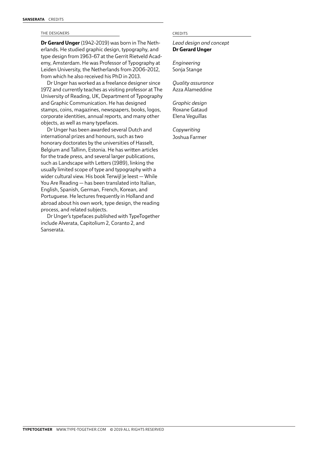### THE DESIGNERS CREDITS

**Dr Gerard Unger** (1942–2019) was born in The Netherlands. He studied graphic design, typography, and type design from 1963–67 at the Gerrit Rietveld Academy, Amsterdam. He was Professor of Typography at Leiden University, the Netherlands from 2006–2012, from which he also received his PhD in 2013.

Dr Unger has worked as a freelance designer since 1972 and currently teaches as visiting professor at The University of Reading, UK, Department of Typography and Graphic Communication. He has designed stamps, coins, magazines, newspapers, books, logos, corporate identities, annual reports, and many other objects, as well as many typefaces.

Dr Unger has been awarded several Dutch and international prizes and honours, such as two honorary doctorates by the universities of Hasselt, Belgium and Tallinn, Estonia. He has written articles for the trade press, and several larger publications, such as Landscape with Letters (1989), linking the usually limited scope of type and typography with a wider cultural view. His book Terwijl je leest — While You Are Reading — has been translated into Italian, English, Spanish, German, French, Korean, and Portuguese. He lectures frequently in Holland and abroad about his own work, type design, the reading process, and related subjects.

Dr Unger's typefaces published with TypeTogether include Alverata, Capitolium 2, Coranto 2, and Sanserata.

*Lead design and concept*  **Dr Gerard Unger**

*Engineering* Sonja Stange

*Quality assurance* Azza Alameddine

*Graphic design*  Roxane Gataud Elena Veguillas

*Copywriting*  Joshua Farmer